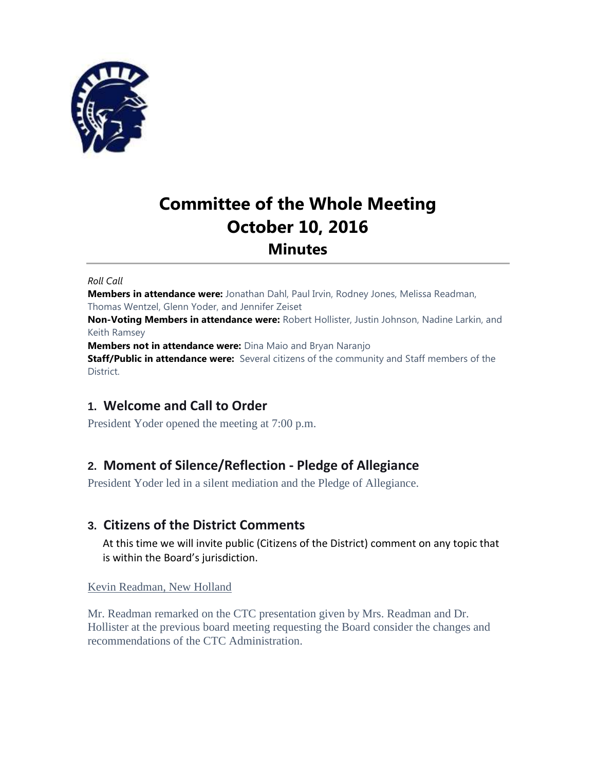

# **Committee of the Whole Meeting October 10, 2016 Minutes**

#### *Roll Call*

**Members in attendance were:** Jonathan Dahl, Paul Irvin, Rodney Jones, Melissa Readman, Thomas Wentzel, Glenn Yoder, and Jennifer Zeiset

**Non-Voting Members in attendance were:** Robert Hollister, Justin Johnson, Nadine Larkin, and Keith Ramsey

**Members not in attendance were:** Dina Maio and Bryan Naranjo

**Staff/Public in attendance were:** Several citizens of the community and Staff members of the District.

# **1. Welcome and Call to Order**

President Yoder opened the meeting at 7:00 p.m.

# **2. Moment of Silence/Reflection - Pledge of Allegiance**

President Yoder led in a silent mediation and the Pledge of Allegiance.

# **3. Citizens of the District Comments**

At this time we will invite public (Citizens of the District) comment on any topic that is within the Board's jurisdiction.

## Kevin Readman, New Holland

Mr. Readman remarked on the CTC presentation given by Mrs. Readman and Dr. Hollister at the previous board meeting requesting the Board consider the changes and recommendations of the CTC Administration.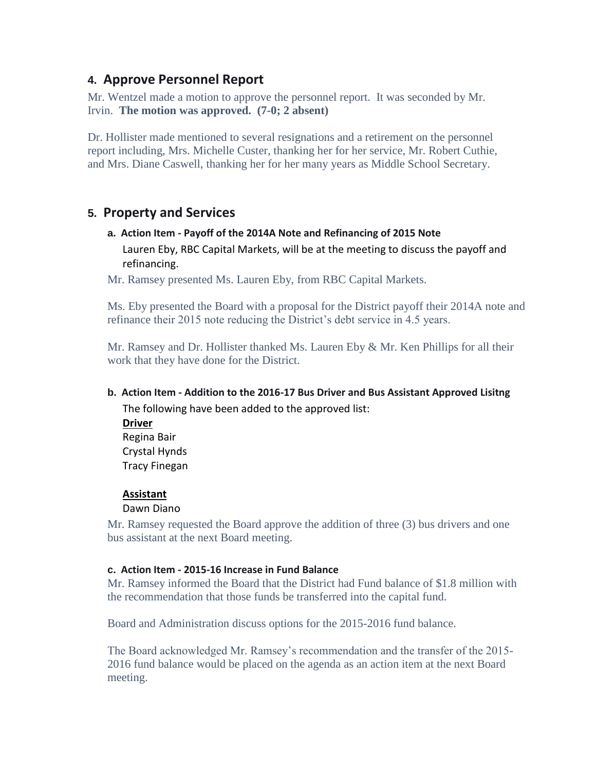# **4. Approve Personnel Report**

Mr. Wentzel made a motion to approve the personnel report. It was seconded by Mr. Irvin. **The motion was approved. (7-0; 2 absent)**

Dr. Hollister made mentioned to several resignations and a retirement on the personnel report including, Mrs. Michelle Custer, thanking her for her service, Mr. Robert Cuthie, and Mrs. Diane Caswell, thanking her for her many years as Middle School Secretary.

# **5. Property and Services**

# **a. Action Item - Payoff of the 2014A Note and Refinancing of 2015 Note** Lauren Eby, RBC Capital Markets, will be at the meeting to discuss the payoff and refinancing.

Mr. Ramsey presented Ms. Lauren Eby, from RBC Capital Markets.

Ms. Eby presented the Board with a proposal for the District payoff their 2014A note and refinance their 2015 note reducing the District's debt service in 4.5 years.

Mr. Ramsey and Dr. Hollister thanked Ms. Lauren Eby  $\&$  Mr. Ken Phillips for all their work that they have done for the District.

# **b. Action Item - Addition to the 2016-17 Bus Driver and Bus Assistant Approved Lisitng**

The following have been added to the approved list:

**Driver** Regina Bair Crystal Hynds Tracy Finegan

# **Assistant**

## Dawn Diano

Mr. Ramsey requested the Board approve the addition of three (3) bus drivers and one bus assistant at the next Board meeting.

## **c. Action Item - 2015-16 Increase in Fund Balance**

Mr. Ramsey informed the Board that the District had Fund balance of \$1.8 million with the recommendation that those funds be transferred into the capital fund.

Board and Administration discuss options for the 2015-2016 fund balance.

The Board acknowledged Mr. Ramsey's recommendation and the transfer of the 2015- 2016 fund balance would be placed on the agenda as an action item at the next Board meeting.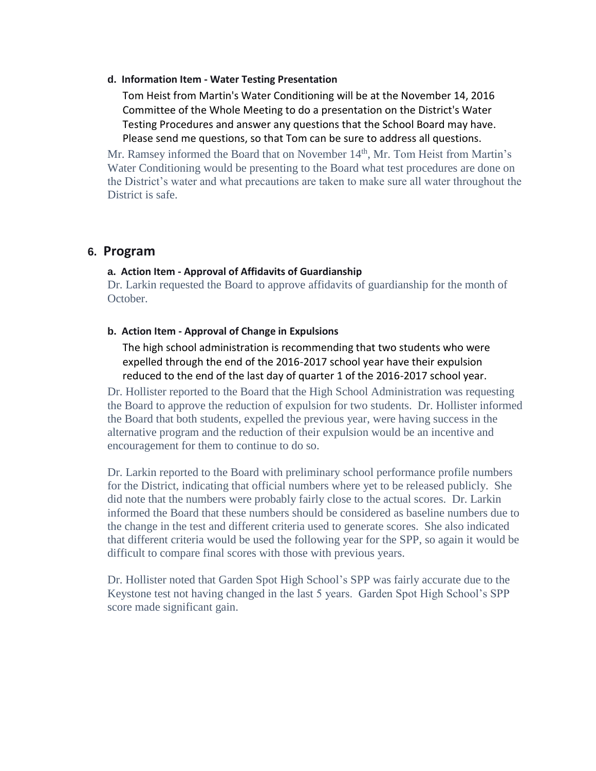#### **d. Information Item - Water Testing Presentation**

Tom Heist from Martin's Water Conditioning will be at the November 14, 2016 Committee of the Whole Meeting to do a presentation on the District's Water Testing Procedures and answer any questions that the School Board may have. Please send me questions, so that Tom can be sure to address all questions.

Mr. Ramsey informed the Board that on November 14<sup>th</sup>, Mr. Tom Heist from Martin's Water Conditioning would be presenting to the Board what test procedures are done on the District's water and what precautions are taken to make sure all water throughout the District is safe.

# **6. Program**

#### **a. Action Item - Approval of Affidavits of Guardianship**

Dr. Larkin requested the Board to approve affidavits of guardianship for the month of October.

#### **b. Action Item - Approval of Change in Expulsions**

The high school administration is recommending that two students who were expelled through the end of the 2016-2017 school year have their expulsion reduced to the end of the last day of quarter 1 of the 2016-2017 school year.

Dr. Hollister reported to the Board that the High School Administration was requesting the Board to approve the reduction of expulsion for two students. Dr. Hollister informed the Board that both students, expelled the previous year, were having success in the alternative program and the reduction of their expulsion would be an incentive and encouragement for them to continue to do so.

Dr. Larkin reported to the Board with preliminary school performance profile numbers for the District, indicating that official numbers where yet to be released publicly. She did note that the numbers were probably fairly close to the actual scores. Dr. Larkin informed the Board that these numbers should be considered as baseline numbers due to the change in the test and different criteria used to generate scores. She also indicated that different criteria would be used the following year for the SPP, so again it would be difficult to compare final scores with those with previous years.

Dr. Hollister noted that Garden Spot High School's SPP was fairly accurate due to the Keystone test not having changed in the last 5 years. Garden Spot High School's SPP score made significant gain.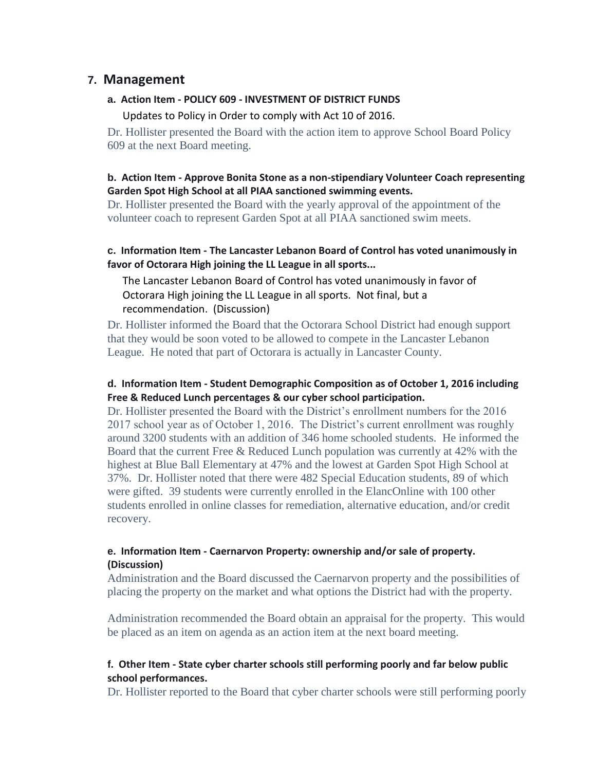# **7. Management**

#### **a. Action Item - POLICY 609 - INVESTMENT OF DISTRICT FUNDS**

Updates to Policy in Order to comply with Act 10 of 2016.

Dr. Hollister presented the Board with the action item to approve School Board Policy 609 at the next Board meeting.

## **b. Action Item - Approve Bonita Stone as a non-stipendiary Volunteer Coach representing Garden Spot High School at all PIAA sanctioned swimming events.**

Dr. Hollister presented the Board with the yearly approval of the appointment of the volunteer coach to represent Garden Spot at all PIAA sanctioned swim meets.

## **c. Information Item - The Lancaster Lebanon Board of Control has voted unanimously in favor of Octorara High joining the LL League in all sports...**

The Lancaster Lebanon Board of Control has voted unanimously in favor of Octorara High joining the LL League in all sports. Not final, but a recommendation. (Discussion)

Dr. Hollister informed the Board that the Octorara School District had enough support that they would be soon voted to be allowed to compete in the Lancaster Lebanon League. He noted that part of Octorara is actually in Lancaster County.

## **d. Information Item - Student Demographic Composition as of October 1, 2016 including Free & Reduced Lunch percentages & our cyber school participation.**

Dr. Hollister presented the Board with the District's enrollment numbers for the 2016 2017 school year as of October 1, 2016. The District's current enrollment was roughly around 3200 students with an addition of 346 home schooled students. He informed the Board that the current Free & Reduced Lunch population was currently at 42% with the highest at Blue Ball Elementary at 47% and the lowest at Garden Spot High School at 37%. Dr. Hollister noted that there were 482 Special Education students, 89 of which were gifted. 39 students were currently enrolled in the ElancOnline with 100 other students enrolled in online classes for remediation, alternative education, and/or credit recovery.

## **e. Information Item - Caernarvon Property: ownership and/or sale of property. (Discussion)**

Administration and the Board discussed the Caernarvon property and the possibilities of placing the property on the market and what options the District had with the property.

Administration recommended the Board obtain an appraisal for the property. This would be placed as an item on agenda as an action item at the next board meeting.

## **f. Other Item - State cyber charter schools still performing poorly and far below public school performances.**

Dr. Hollister reported to the Board that cyber charter schools were still performing poorly